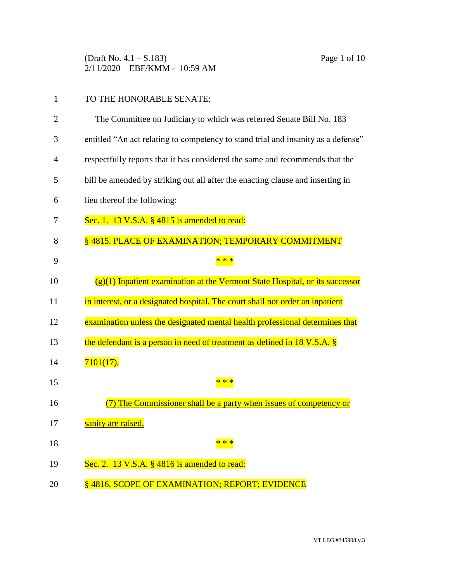(Draft No. 4.1 – S.183) Page 1 of 10 2/11/2020 – EBF/KMM - 10:59 AM

## 1 TO THE HONORABLE SENATE:

2 The Committee on Judiciary to which was referred Senate Bill No. 183 3 entitled "An act relating to competency to stand trial and insanity as a defense" 4 respectfully reports that it has considered the same and recommends that the 5 bill be amended by striking out all after the enacting clause and inserting in 6 lieu thereof the following: 7 Sec. 1. 13 V.S.A. § 4815 is amended to read: 8 8 8815. PLACE OF EXAMINATION; TEMPORARY COMMITMENT 9 \* \* \* 10  $(g)(1)$  Inpatient examination at the Vermont State Hospital, or its successor 11 in interest, or a designated hospital. The court shall not order an inpatient 12 examination unless the designated mental health professional determines that 13 the defendant is a person in need of treatment as defined in 18 V.S.A. § 14 7101(17). 15  $* * *$ 16 (7) The Commissioner shall be a party when issues of competency or 17 sanity are raised. 18  $* * *$ 19 Sec. 2. 13 V.S.A. § 4816 is amended to read: 20 § 4816. SCOPE OF EXAMINATION; REPORT; EVIDENCE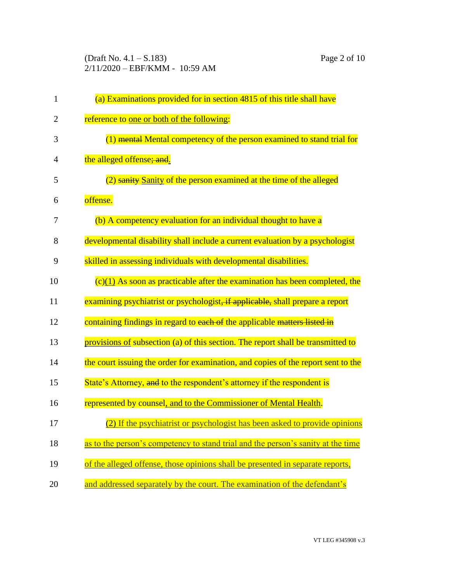(Draft No. 4.1 – S.183) Page 2 of 10 2/11/2020 – EBF/KMM - 10:59 AM

| $\mathbf{1}$   | (a) Examinations provided for in section 4815 of this title shall have            |
|----------------|-----------------------------------------------------------------------------------|
| $\overline{2}$ | reference to one or both of the following:                                        |
| 3              | (1) mental Mental competency of the person examined to stand trial for            |
| $\overline{4}$ | the alleged offense; and.                                                         |
| 5              | (2) sanity Sanity of the person examined at the time of the alleged               |
| 6              | offense.                                                                          |
| 7              | (b) A competency evaluation for an individual thought to have a                   |
| 8              | developmental disability shall include a current evaluation by a psychologist     |
| 9              | skilled in assessing individuals with developmental disabilities.                 |
| 10             | $(c)(1)$ As soon as practicable after the examination has been completed, the     |
| 11             | examining psychiatrist or psychologist, if applicable, shall prepare a report     |
| 12             | containing findings in regard to each of the applicable matters listed in         |
| 13             | provisions of subsection (a) of this section. The report shall be transmitted to  |
| 14             | the court issuing the order for examination, and copies of the report sent to the |
| 15             | State's Attorney, and to the respondent's attorney if the respondent is           |
| 16             | represented by counsel, and to the Commissioner of Mental Health.                 |
| 17             | (2) If the psychiatrist or psychologist has been asked to provide opinions        |
| 18             | as to the person's competency to stand trial and the person's sanity at the time  |
| 19             | of the alleged offense, those opinions shall be presented in separate reports,    |
| 20             | and addressed separately by the court. The examination of the defendant's         |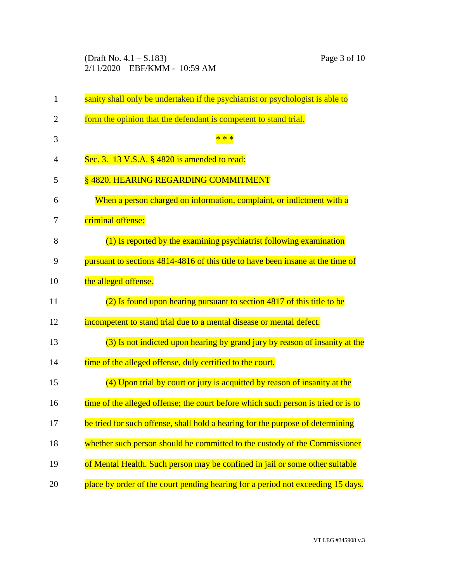(Draft No. 4.1 – S.183) Page 3 of 10 2/11/2020 – EBF/KMM - 10:59 AM

| $\mathbf{1}$   | sanity shall only be undertaken if the psychiatrist or psychologist is able to    |
|----------------|-----------------------------------------------------------------------------------|
| $\overline{2}$ | form the opinion that the defendant is competent to stand trial.                  |
| 3              | $* *$                                                                             |
| $\overline{4}$ | Sec. 3. 13 V.S.A. § 4820 is amended to read:                                      |
| 5              | §4820. HEARING REGARDING COMMITMENT                                               |
| 6              | When a person charged on information, complaint, or indictment with a             |
| 7              | criminal offense:                                                                 |
| 8              | (1) Is reported by the examining psychiatrist following examination               |
| 9              | pursuant to sections 4814-4816 of this title to have been insane at the time of   |
| 10             | the alleged offense.                                                              |
| 11             | (2) Is found upon hearing pursuant to section 4817 of this title to be            |
| 12             | incompetent to stand trial due to a mental disease or mental defect.              |
| 13             | (3) Is not indicted upon hearing by grand jury by reason of insanity at the       |
| 14             | time of the alleged offense, duly certified to the court.                         |
| 15             | (4) Upon trial by court or jury is acquitted by reason of insanity at the         |
| 16             | time of the alleged offense; the court before which such person is tried or is to |
| 17             | be tried for such offense, shall hold a hearing for the purpose of determining    |
| 18             | whether such person should be committed to the custody of the Commissioner        |
| 19             | of Mental Health. Such person may be confined in jail or some other suitable      |
| 20             | place by order of the court pending hearing for a period not exceeding 15 days.   |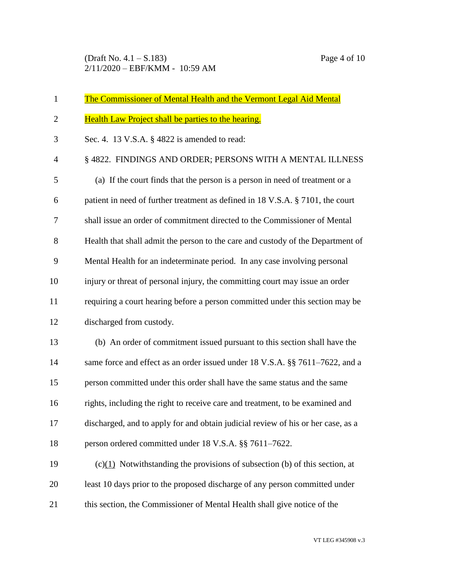| $\mathbf{1}$   | <b>The Commissioner of Mental Health and the Vermont Legal Aid Mental</b>        |
|----------------|----------------------------------------------------------------------------------|
| $\overline{2}$ | Health Law Project shall be parties to the hearing.                              |
| 3              | Sec. 4. 13 V.S.A. § 4822 is amended to read:                                     |
| $\overline{4}$ | § 4822. FINDINGS AND ORDER; PERSONS WITH A MENTAL ILLNESS                        |
| 5              | (a) If the court finds that the person is a person in need of treatment or a     |
| 6              | patient in need of further treatment as defined in 18 V.S.A. § 7101, the court   |
| 7              | shall issue an order of commitment directed to the Commissioner of Mental        |
| 8              | Health that shall admit the person to the care and custody of the Department of  |
| 9              | Mental Health for an indeterminate period. In any case involving personal        |
| 10             | injury or threat of personal injury, the committing court may issue an order     |
| 11             | requiring a court hearing before a person committed under this section may be    |
| 12             | discharged from custody.                                                         |
| 13             | (b) An order of commitment issued pursuant to this section shall have the        |
| 14             | same force and effect as an order issued under 18 V.S.A. §§ 7611–7622, and a     |
| 15             | person committed under this order shall have the same status and the same        |
| 16             | rights, including the right to receive care and treatment, to be examined and    |
| 17             | discharged, and to apply for and obtain judicial review of his or her case, as a |
| 18             | person ordered committed under 18 V.S.A. §§ 7611-7622.                           |
| 19             | $(c)(1)$ Notwithstanding the provisions of subsection (b) of this section, at    |
| 20             | least 10 days prior to the proposed discharge of any person committed under      |
| 21             | this section, the Commissioner of Mental Health shall give notice of the         |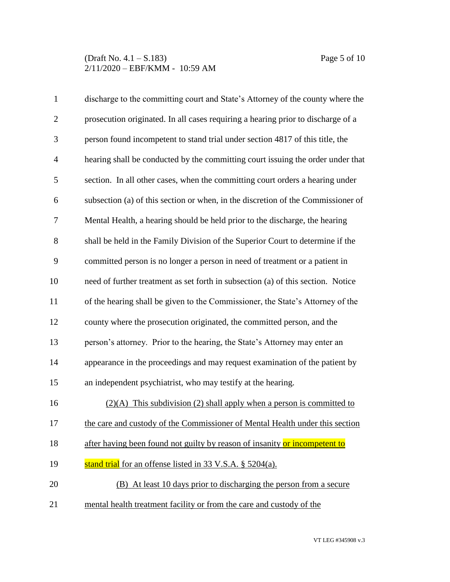## (Draft No. 4.1 – S.183) Page 5 of 10 2/11/2020 – EBF/KMM - 10:59 AM

| $\mathbf{1}$   | discharge to the committing court and State's Attorney of the county where the   |
|----------------|----------------------------------------------------------------------------------|
| $\overline{2}$ | prosecution originated. In all cases requiring a hearing prior to discharge of a |
| 3              | person found incompetent to stand trial under section 4817 of this title, the    |
| $\overline{4}$ | hearing shall be conducted by the committing court issuing the order under that  |
| 5              | section. In all other cases, when the committing court orders a hearing under    |
| 6              | subsection (a) of this section or when, in the discretion of the Commissioner of |
| 7              | Mental Health, a hearing should be held prior to the discharge, the hearing      |
| 8              | shall be held in the Family Division of the Superior Court to determine if the   |
| 9              | committed person is no longer a person in need of treatment or a patient in      |
| 10             | need of further treatment as set forth in subsection (a) of this section. Notice |
| 11             | of the hearing shall be given to the Commissioner, the State's Attorney of the   |
| 12             | county where the prosecution originated, the committed person, and the           |
| 13             | person's attorney. Prior to the hearing, the State's Attorney may enter an       |
| 14             | appearance in the proceedings and may request examination of the patient by      |
| 15             | an independent psychiatrist, who may testify at the hearing.                     |
| 16             | $(2)(A)$ This subdivision (2) shall apply when a person is committed to          |
| 17             | the care and custody of the Commissioner of Mental Health under this section     |
| 18             | after having been found not guilty by reason of insanity or incompetent to       |
| 19             | stand trial for an offense listed in 33 V.S.A. § 5204(a).                        |
| 20             | (B) At least 10 days prior to discharging the person from a secure               |
| 21             | mental health treatment facility or from the care and custody of the             |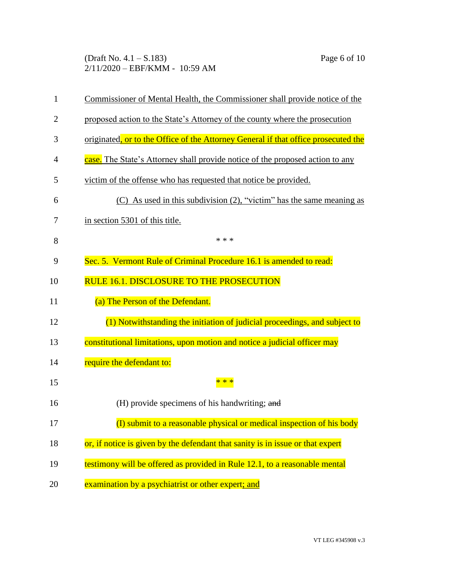(Draft No. 4.1 – S.183) Page 6 of 10 2/11/2020 – EBF/KMM - 10:59 AM

| $\mathbf{1}$   | Commissioner of Mental Health, the Commissioner shall provide notice of the        |
|----------------|------------------------------------------------------------------------------------|
| $\overline{2}$ | proposed action to the State's Attorney of the county where the prosecution        |
| 3              | originated, or to the Office of the Attorney General if that office prosecuted the |
| 4              | case. The State's Attorney shall provide notice of the proposed action to any      |
| 5              | victim of the offense who has requested that notice be provided.                   |
| 6              | $(C)$ As used in this subdivision $(2)$ , "victim" has the same meaning as         |
| 7              | in section 5301 of this title.                                                     |
| 8              | * * *                                                                              |
| 9              | Sec. 5. Vermont Rule of Criminal Procedure 16.1 is amended to read:                |
| 10             | RULE 16.1. DISCLOSURE TO THE PROSECUTION                                           |
| 11             | (a) The Person of the Defendant.                                                   |
| 12             | (1) Notwithstanding the initiation of judicial proceedings, and subject to         |
| 13             | constitutional limitations, upon motion and notice a judicial officer may          |
| 14             | require the defendant to:                                                          |
| 15             |                                                                                    |
| 16             | (H) provide specimens of his handwriting; and                                      |
| 17             | (I) submit to a reasonable physical or medical inspection of his body              |
| 18             | or, if notice is given by the defendant that sanity is in issue or that expert     |
| 19             | testimony will be offered as provided in Rule 12.1, to a reasonable mental         |
| 20             | examination by a psychiatrist or other expert; and                                 |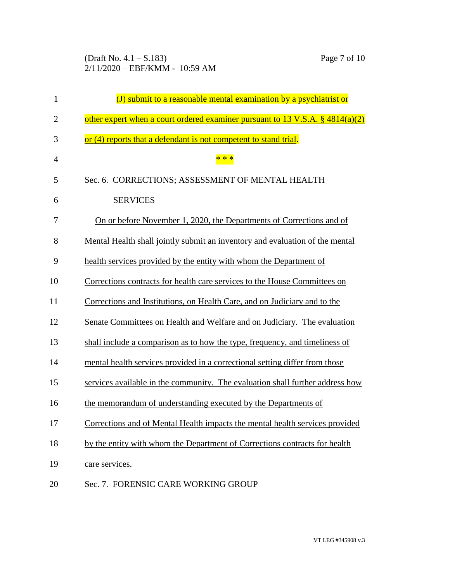(Draft No. 4.1 – S.183) Page 7 of 10 2/11/2020 – EBF/KMM - 10:59 AM

| $\mathbf{1}$   | (J) submit to a reasonable mental examination by a psychiatrist or               |
|----------------|----------------------------------------------------------------------------------|
| $\overline{2}$ | other expert when a court ordered examiner pursuant to 13 V.S.A. $\S$ 4814(a)(2) |
| 3              | or (4) reports that a defendant is not competent to stand trial.                 |
| $\overline{4}$ | * * *                                                                            |
| 5              | Sec. 6. CORRECTIONS; ASSESSMENT OF MENTAL HEALTH                                 |
| 6              | <b>SERVICES</b>                                                                  |
| 7              | On or before November 1, 2020, the Departments of Corrections and of             |
| 8              | Mental Health shall jointly submit an inventory and evaluation of the mental     |
| 9              | health services provided by the entity with whom the Department of               |
| 10             | Corrections contracts for health care services to the House Committees on        |
| 11             | Corrections and Institutions, on Health Care, and on Judiciary and to the        |
| 12             | Senate Committees on Health and Welfare and on Judiciary. The evaluation         |
| 13             | shall include a comparison as to how the type, frequency, and timeliness of      |
| 14             | mental health services provided in a correctional setting differ from those      |
| 15             | services available in the community. The evaluation shall further address how    |
| 16             | the memorandum of understanding executed by the Departments of                   |
| 17             | Corrections and of Mental Health impacts the mental health services provided     |
| 18             | by the entity with whom the Department of Corrections contracts for health       |
| 19             | care services.                                                                   |
| 20             | Sec. 7. FORENSIC CARE WORKING GROUP                                              |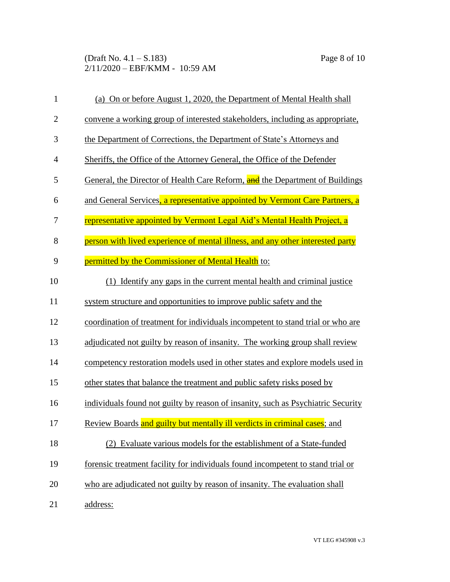## (Draft No. 4.1 – S.183) Page 8 of 10 2/11/2020 – EBF/KMM - 10:59 AM

| $\mathbf{1}$   | (a) On or before August 1, 2020, the Department of Mental Health shall              |
|----------------|-------------------------------------------------------------------------------------|
| $\mathfrak{2}$ | convene a working group of interested stakeholders, including as appropriate,       |
| 3              | the Department of Corrections, the Department of State's Attorneys and              |
| $\overline{4}$ | Sheriffs, the Office of the Attorney General, the Office of the Defender            |
| 5              | General, the Director of Health Care Reform, <b>and</b> the Department of Buildings |
| 6              | and General Services, a representative appointed by Vermont Care Partners, a        |
| 7              | representative appointed by Vermont Legal Aid's Mental Health Project, a            |
| 8              | person with lived experience of mental illness, and any other interested party      |
| 9              | permitted by the Commissioner of Mental Health to:                                  |
| 10             | (1) Identify any gaps in the current mental health and criminal justice             |
| 11             | system structure and opportunities to improve public safety and the                 |
| 12             | coordination of treatment for individuals incompetent to stand trial or who are     |
| 13             | adjudicated not guilty by reason of insanity. The working group shall review        |
| 14             | competency restoration models used in other states and explore models used in       |
| 15             | other states that balance the treatment and public safety risks posed by            |
| 16             | individuals found not guilty by reason of insanity, such as Psychiatric Security    |
| 17             | Review Boards and guilty but mentally ill verdicts in criminal cases; and           |
| 18             | (2) Evaluate various models for the establishment of a State-funded                 |
| 19             | forensic treatment facility for individuals found incompetent to stand trial or     |
| 20             | who are adjudicated not guilty by reason of insanity. The evaluation shall          |
| 21             | address:                                                                            |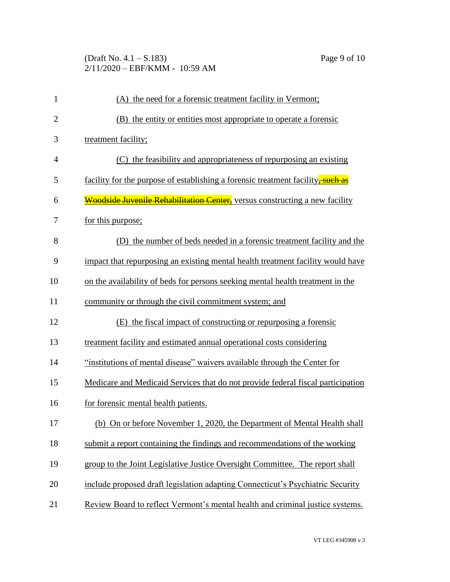## (Draft No. 4.1 – S.183) Page 9 of 10 2/11/2020 – EBF/KMM - 10:59 AM

| $\mathbf{1}$   | (A) the need for a forensic treatment facility in Vermont;                      |  |  |
|----------------|---------------------------------------------------------------------------------|--|--|
| $\overline{2}$ | (B) the entity or entities most appropriate to operate a forensic               |  |  |
| 3              | treatment facility;                                                             |  |  |
| 4              | (C) the feasibility and appropriateness of repurposing an existing              |  |  |
| 5              | facility for the purpose of establishing a forensic treatment facility, such as |  |  |
| 6              | Woodside Juvenile Rehabilitation Center, versus constructing a new facility     |  |  |
| 7              | for this purpose;                                                               |  |  |
| 8              | (D) the number of beds needed in a forensic treatment facility and the          |  |  |
| 9              | impact that repurposing an existing mental health treatment facility would have |  |  |
| 10             | on the availability of beds for persons seeking mental health treatment in the  |  |  |
| 11             | community or through the civil commitment system; and                           |  |  |
| 12             | (E) the fiscal impact of constructing or repurposing a forensic                 |  |  |
| 13             | treatment facility and estimated annual operational costs considering           |  |  |
| 14             | "institutions of mental disease" waivers available through the Center for       |  |  |
| 15             | Medicare and Medicaid Services that do not provide federal fiscal participation |  |  |
| 16             | for forensic mental health patients.                                            |  |  |
| 17             | (b) On or before November 1, 2020, the Department of Mental Health shall        |  |  |
| 18             | submit a report containing the findings and recommendations of the working      |  |  |
| 19             | group to the Joint Legislative Justice Oversight Committee. The report shall    |  |  |
| 20             | include proposed draft legislation adapting Connecticut's Psychiatric Security  |  |  |
| 21             | Review Board to reflect Vermont's mental health and criminal justice systems.   |  |  |